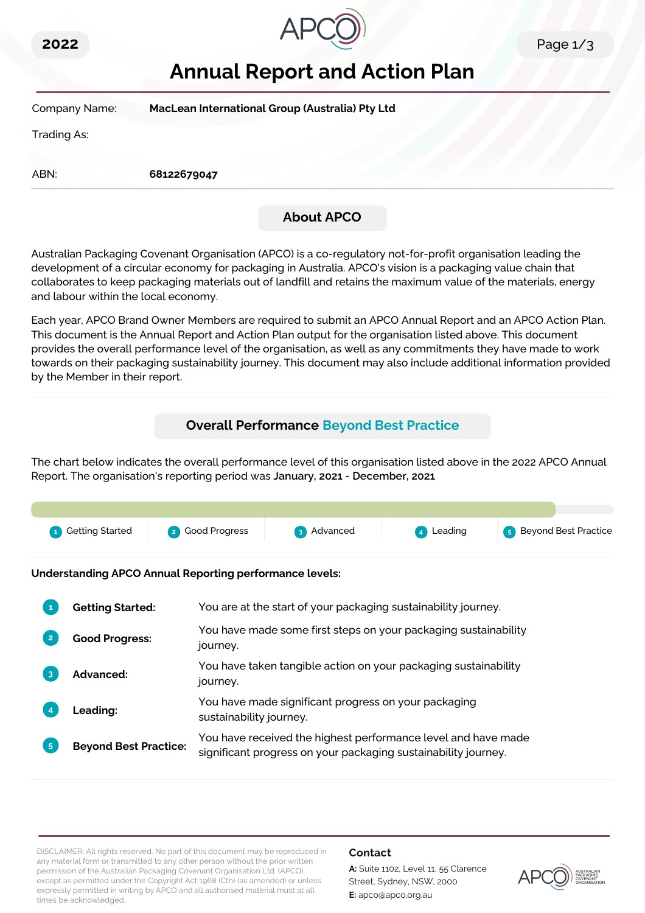



# **Annual Report and Action Plan**

| Company Name: | MacLean International Group (Australia) Pty Ltd |                   |  |
|---------------|-------------------------------------------------|-------------------|--|
| Trading As:   |                                                 |                   |  |
| ABN:          | 68122679047                                     |                   |  |
|               |                                                 | <b>About APCO</b> |  |

Australian Packaging Covenant Organisation (APCO) is a co-regulatory not-for-profit organisation leading the development of a circular economy for packaging in Australia. APCO's vision is a packaging value chain that collaborates to keep packaging materials out of landfill and retains the maximum value of the materials, energy and labour within the local economy.

Each year, APCO Brand Owner Members are required to submit an APCO Annual Report and an APCO Action Plan. This document is the Annual Report and Action Plan output for the organisation listed above. This document provides the overall performance level of the organisation, as well as any commitments they have made to work towards on their packaging sustainability journey. This document may also include additional information provided by the Member in their report.

# **Overall Performance Beyond Best Practice**

The chart below indicates the overall performance level of this organisation listed above in the 2022 APCO Annual Report. The organisation's reporting period was **January, 2021 - December, 2021**.



**Understanding APCO Annual Reporting performance levels:**

|                | <b>Getting Started:</b>      | You are at the start of your packaging sustainability journey.                                                                  |
|----------------|------------------------------|---------------------------------------------------------------------------------------------------------------------------------|
|                | <b>Good Progress:</b>        | You have made some first steps on your packaging sustainability<br>journey.                                                     |
| 3              | Advanced:                    | You have taken tangible action on your packaging sustainability<br>journey.                                                     |
|                | <b>Leading:</b>              | You have made significant progress on your packaging<br>sustainability journey.                                                 |
| 5 <sup>5</sup> | <b>Beyond Best Practice:</b> | You have received the highest performance level and have made<br>significant progress on your packaging sustainability journey. |

DISCLAIMER: All rights reserved. No part of this document may be reproduced in any material form or transmitted to any other person without the prior written permission of the Australian Packaging Covenant Organisation Ltd. (APCO) except as permitted under the Copyright Act 1968 (Cth) (as amended) or unless expressly permitted in writing by APCO and all authorised material must at all times be acknowledged.

### **Contact**

**A:** Suite 1102, Level 11, 55 Clarence Street, Sydney, NSW, 2000 **E:** apco@apco.org.au

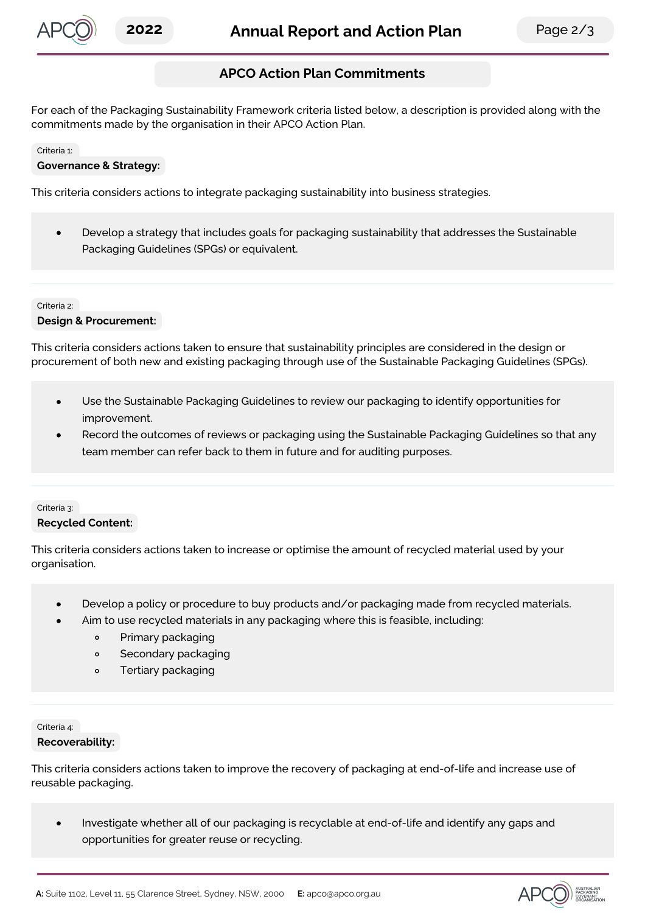

# **APCO Action Plan Commitments**

For each of the Packaging Sustainability Framework criteria listed below, a description is provided along with the commitments made by the organisation in their APCO Action Plan.

#### Criteria 1:

### **Governance & Strategy:**

This criteria considers actions to integrate packaging sustainability into business strategies.

Develop a strategy that includes goals for packaging sustainability that addresses the Sustainable  $\bullet$ Packaging Guidelines (SPGs) or equivalent.

Criteria 2: **Design & Procurement:**

This criteria considers actions taken to ensure that sustainability principles are considered in the design or procurement of both new and existing packaging through use of the Sustainable Packaging Guidelines (SPGs).

- Use the Sustainable Packaging Guidelines to review our packaging to identify opportunities for improvement.
- Record the outcomes of reviews or packaging using the Sustainable Packaging Guidelines so that any team member can refer back to them in future and for auditing purposes.

### Criteria 3: **Recycled Content:**

This criteria considers actions taken to increase or optimise the amount of recycled material used by your organisation.

- Develop a policy or procedure to buy products and/or packaging made from recycled materials.
- Aim to use recycled materials in any packaging where this is feasible, including:
	- $\circ$ Primary packaging
	- $\circ$ Secondary packaging
	- Tertiary packaging  $\circ$

## Criteria 4:

### **Recoverability:**

This criteria considers actions taken to improve the recovery of packaging at end-of-life and increase use of reusable packaging.

Investigate whether all of our packaging is recyclable at end-of-life and identify any gaps and  $\bullet$ opportunities for greater reuse or recycling.